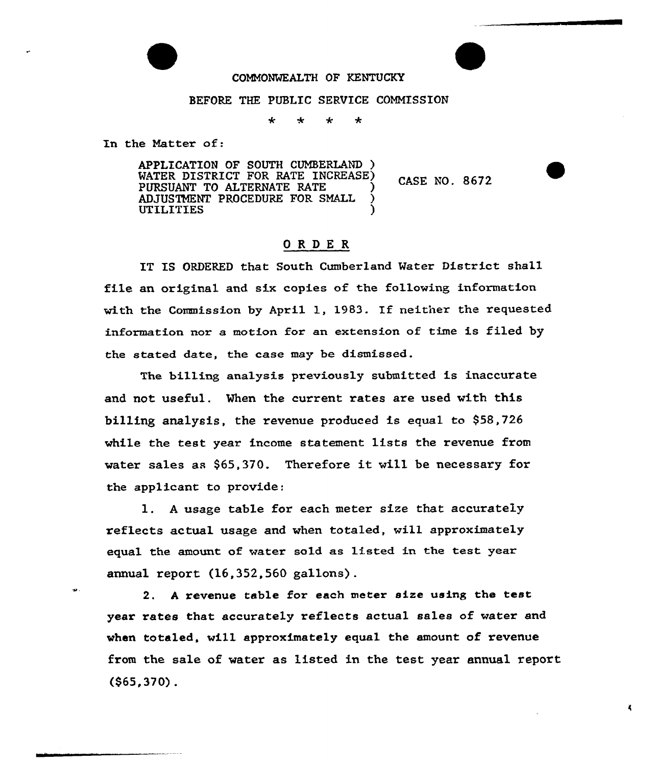## COMMONWEALTH OF KENTUCKY

## BEFORE THE PUBLIC SERVICE COMMISSION

به  $\star$  $\star$ 

In the Natter of:

APPLICATION OF SOUTH CUMBERLAND ) WATER DISTRICT FOR RATE INCREASE) PURSUANT TO ALTERNATE RATE ADJUSTMENT PROCEDURE FOR SMALL ) **UTILITIES** 

CASE NO. 8672

## ORDE <sup>R</sup>

IT IS ORDERED that South Cumberland Water District shall file an oxiginal and six copies of the following information with the Commission by April 1, 1983. If neither the requested information nor a motion for an extension of time is filed by the stated date, the case may be dismissed.

The billing analysis previously submitted is inaccurate and not useful. When the current rates are used with this billing analysis, the revenue produced is equal to \$58,726 while the test year income statement lists the revenue from water sales as \$65,370. Therefore it will be necessary for the applicant to provide:

l. <sup>A</sup> usage table for each meter size that accurately reflects actual usage and when totaled, will approximately equal the amount of water sold as listed in the test year annual report (16,352,560 gallons) .

2. <sup>A</sup> revenue table for each meter size using the test year rates that accurately reflects actual sales of water and when totaled, will approximately equal the amount of revenue from the sale of water as listed in the test year annual report (\$65,370) .